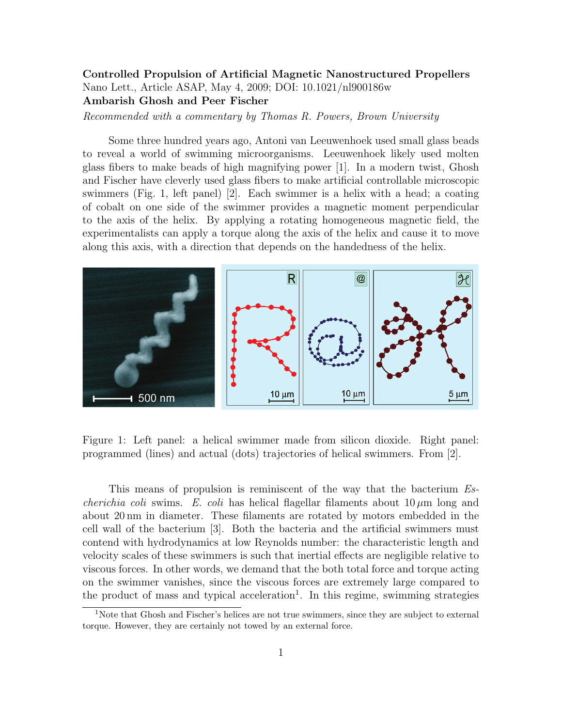## Controlled Propulsion of Artificial Magnetic Nanostructured Propellers Nano Lett., Article ASAP, May 4, 2009; DOI: 10.1021/nl900186w Ambarish Ghosh and Peer Fischer

Recommended with a commentary by Thomas R. Powers, Brown University

Some three hundred years ago, Antoni van Leeuwenhoek used small glass beads to reveal a world of swimming microorganisms. Leeuwenhoek likely used molten glass fibers to make beads of high magnifying power [1]. In a modern twist, Ghosh and Fischer have cleverly used glass fibers to make artificial controllable microscopic swimmers (Fig. 1, left panel) [2]. Each swimmer is a helix with a head; a coating of cobalt on one side of the swimmer provides a magnetic moment perpendicular to the axis of the helix. By applying a rotating homogeneous magnetic field, the experimentalists can apply a torque along the axis of the helix and cause it to move along this axis, with a direction that depends on the handedness of the helix.



Figure 1: Left panel: a helical swimmer made from silicon dioxide. Right panel: programmed (lines) and actual (dots) trajectories of helical swimmers. From [2].

This means of propulsion is reminiscent of the way that the bacterium Es*cherichia coli* swims. E. *coli* has helical flagellar filaments about  $10 \mu m$  long and about 20 nm in diameter. These filaments are rotated by motors embedded in the cell wall of the bacterium [3]. Both the bacteria and the artificial swimmers must contend with hydrodynamics at low Reynolds number: the characteristic length and velocity scales of these swimmers is such that inertial effects are negligible relative to viscous forces. In other words, we demand that the both total force and torque acting on the swimmer vanishes, since the viscous forces are extremely large compared to the product of mass and typical acceleration<sup>1</sup>. In this regime, swimming strategies

<sup>&</sup>lt;sup>1</sup>Note that Ghosh and Fischer's helices are not true swimmers, since they are subject to external torque. However, they are certainly not towed by an external force.